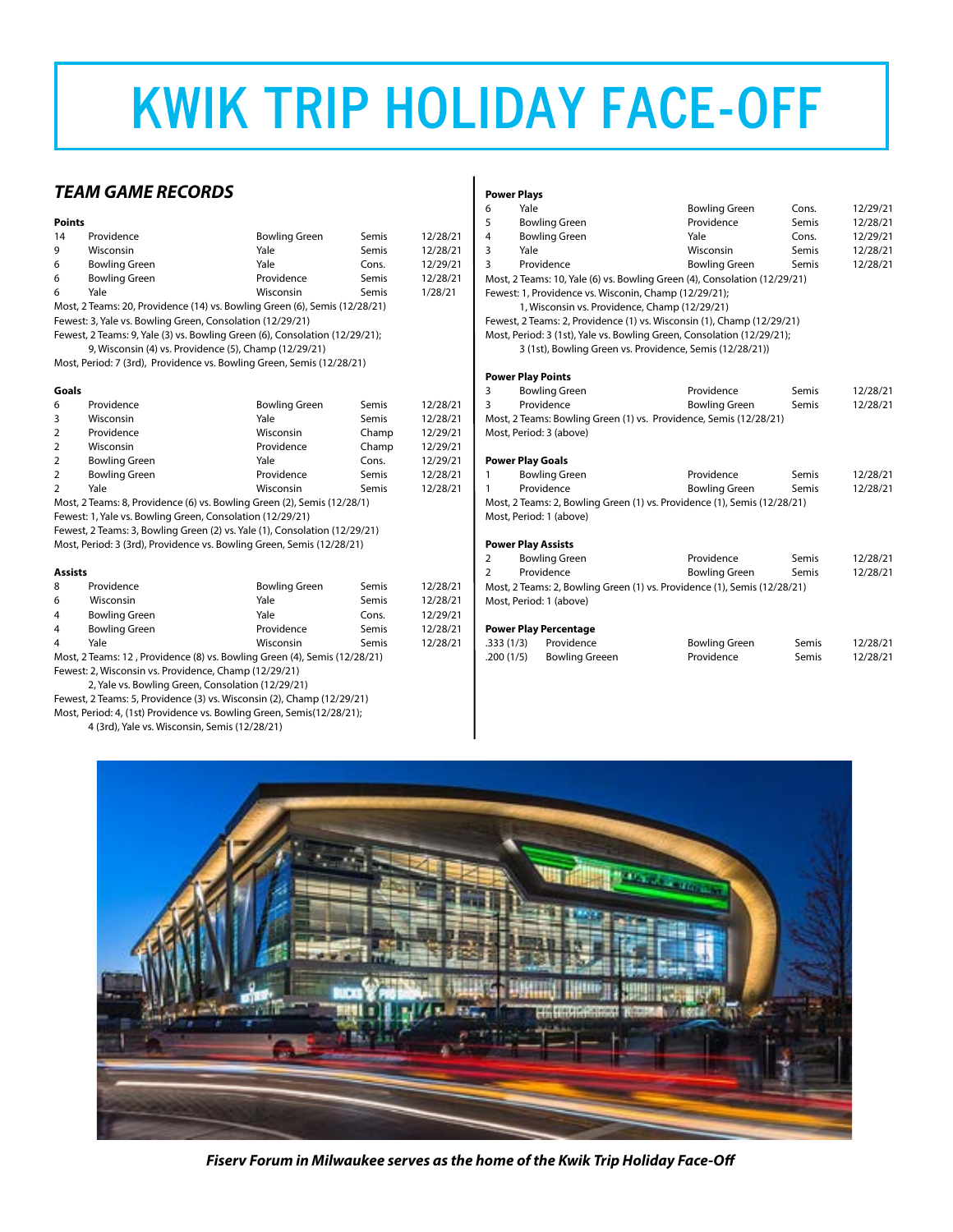# **KWIK TRIP HOLIDAY FACE-OFF**

# *TEAM GAME RECORDS*

| ×<br>$\sim$<br>$\sim$ |  |
|-----------------------|--|
|                       |  |

| 14 | Providence           | <b>Bowling Green</b>                                                       | Semis | 12/28/21 |
|----|----------------------|----------------------------------------------------------------------------|-------|----------|
| 9  | Wisconsin            | Yale                                                                       | Semis | 12/28/21 |
| 6  | <b>Bowling Green</b> | Yale                                                                       | Cons. | 12/29/21 |
| 6  | <b>Bowling Green</b> | Providence                                                                 | Semis | 12/28/21 |
| 6  | Yale                 | Wisconsin                                                                  | Semis | 1/28/21  |
|    |                      | Most, 2 Teams: 20, Providence (14) vs. Bowling Green (6), Semis (12/28/21) |       |          |

Fewest: 3, Yale vs. Bowling Green, Consolation (12/29/21)

Fewest, 2 Teams: 9, Yale (3) vs. Bowling Green (6), Consolation (12/29/21); 9, Wisconsin (4) vs. Providence (5), Champ (12/29/21)

Most, Period: 7 (3rd), Providence vs. Bowling Green, Semis (12/28/21)

#### **Goals**

| 6              | Providence           | <b>Bowling Green</b> | Semis | 12/28/21 |
|----------------|----------------------|----------------------|-------|----------|
| 3              | <b>Wisconsin</b>     | Yale                 | Semis | 12/28/21 |
| 2              | Providence           | Wisconsin            | Champ | 12/29/21 |
| 2              | Wisconsin            | Providence           | Champ | 12/29/21 |
| 2              | <b>Bowling Green</b> | Yale                 | Cons. | 12/29/21 |
| $\overline{2}$ | <b>Bowling Green</b> | Providence           | Semis | 12/28/21 |
| $\overline{2}$ | Yale                 | Wisconsin            | Semis | 12/28/21 |
|                |                      |                      |       |          |

Most, 2 Teams: 8, Providence (6) vs. Bowling Green (2), Semis (12/28/1) Fewest: 1, Yale vs. Bowling Green, Consolation (12/29/21)

Fewest, 2 Teams: 3, Bowling Green (2) vs. Yale (1), Consolation (12/29/21)

Most, Period: 3 (3rd), Providence vs. Bowling Green, Semis (12/28/21)

# **Assists**

| -8                                                                        | Providence           | <b>Bowling Green</b> | Semis | 12/28/21 |
|---------------------------------------------------------------------------|----------------------|----------------------|-------|----------|
| 6                                                                         | <b>Wisconsin</b>     | Yale                 | Semis | 12/28/21 |
| 4                                                                         | <b>Bowling Green</b> | Yale                 | Cons. | 12/29/21 |
| $\overline{a}$                                                            | <b>Bowling Green</b> | Providence           | Semis | 12/28/21 |
| 4                                                                         | Yale                 | Wisconsin            | Semis | 12/28/21 |
| Most, 2 Teams: 12, Providence (8) vs. Bowling Green (4), Semis (12/28/21) |                      |                      |       |          |

Fewest: 2, Wisconsin vs. Providence, Champ (12/29/21)

2, Yale vs. Bowling Green, Consolation (12/29/21)

Fewest, 2 Teams: 5, Providence (3) vs. Wisconsin (2), Champ (12/29/21) Most, Period: 4, (1st) Providence vs. Bowling Green, Semis(12/28/21);

4 (3rd), Yale vs. Wisconsin, Semis (12/28/21)

# **Power Plays**

| 6<br>Yale                 |                                                                           | <b>Bowling Green</b> | Cons. | 12/29/21 |
|---------------------------|---------------------------------------------------------------------------|----------------------|-------|----------|
| 5                         | <b>Bowling Green</b>                                                      | Providence           | Semis | 12/28/21 |
| 4                         | <b>Bowling Green</b>                                                      | Yale                 | Cons. | 12/29/21 |
| 3<br>Yale                 |                                                                           | Wisconsin            | Semis | 12/28/21 |
| 3                         | Providence                                                                | <b>Bowling Green</b> | Semis | 12/28/21 |
|                           | Most, 2 Teams: 10, Yale (6) vs. Bowling Green (4), Consolation (12/29/21) |                      |       |          |
|                           | Fewest: 1, Providence vs. Wisconin, Champ (12/29/21);                     |                      |       |          |
|                           | 1, Wisconsin vs. Providence, Champ (12/29/21)                             |                      |       |          |
|                           | Fewest, 2 Teams: 2, Providence (1) vs. Wisconsin (1), Champ (12/29/21)    |                      |       |          |
|                           | Most, Period: 3 (1st), Yale vs. Bowling Green, Consolation (12/29/21);    |                      |       |          |
|                           | 3 (1st), Bowling Green vs. Providence, Semis (12/28/21))                  |                      |       |          |
| <b>Power Play Points</b>  |                                                                           |                      |       |          |
| 3                         | <b>Bowling Green</b>                                                      | Providence           | Semis | 12/28/21 |
| 3                         | Providence                                                                | <b>Bowling Green</b> | Semis | 12/28/21 |
|                           | Most, 2 Teams: Bowling Green (1) vs. Providence, Semis (12/28/21)         |                      |       |          |
|                           | Most, Period: 3 (above)                                                   |                      |       |          |
| <b>Power Play Goals</b>   |                                                                           |                      |       |          |
| 1                         | <b>Bowling Green</b>                                                      | Providence           | Semis | 12/28/21 |
| 1                         | Providence                                                                | <b>Bowling Green</b> | Semis | 12/28/21 |
|                           | Most, 2 Teams: 2, Bowling Green (1) vs. Providence (1), Semis (12/28/21)  |                      |       |          |
|                           | Most, Period: 1 (above)                                                   |                      |       |          |
| <b>Power Play Assists</b> |                                                                           |                      |       |          |
| $\overline{2}$            | <b>Bowling Green</b>                                                      | Providence           | Semis | 12/28/21 |
| $\mathcal{P}$             | Providence                                                                | <b>Bowling Green</b> | Semis | 12/28/21 |
|                           | Most, 2 Teams: 2, Bowling Green (1) vs. Providence (1), Semis (12/28/21)  |                      |       |          |
|                           | Most, Period: 1 (above)                                                   |                      |       |          |
|                           | <b>Power Play Percentage</b>                                              |                      |       |          |
| .333(1/3)                 | Providence                                                                | <b>Bowling Green</b> | Semis | 12/28/21 |
| .200(1/5)                 | <b>Bowling Greeen</b>                                                     | Providence           | Semis | 12/28/21 |
|                           |                                                                           |                      |       |          |



*Fiserv Forum in Milwaukee serves as the home of the Kwik Trip Holiday Face-Off*